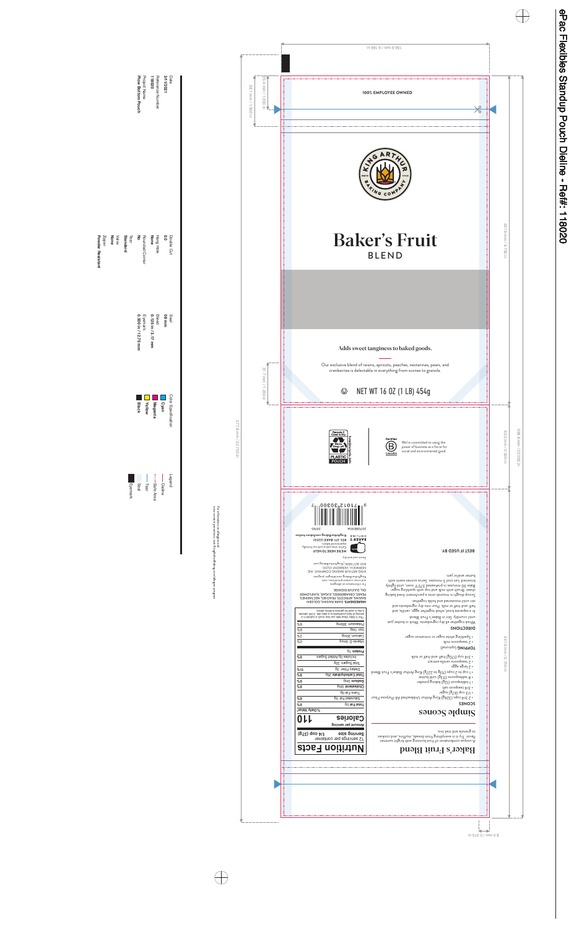